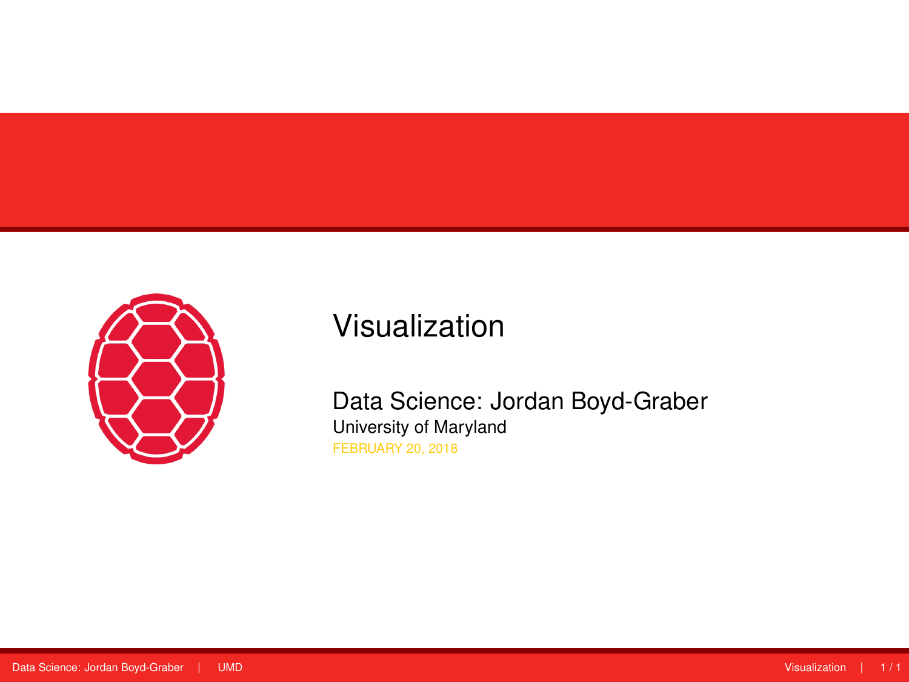<span id="page-0-0"></span>

# Visualization

Data Science: Jordan Boyd-Graber University of Maryland FEBRUARY 20, 2018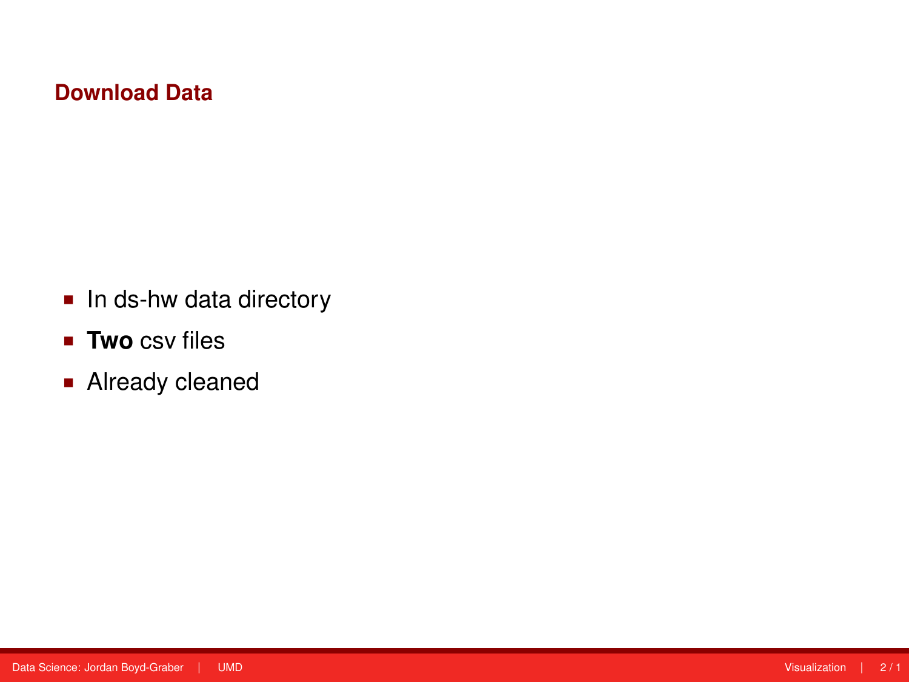### **Download Data**

- In ds-hw data directory
- **Two** csv files
- **Already cleaned**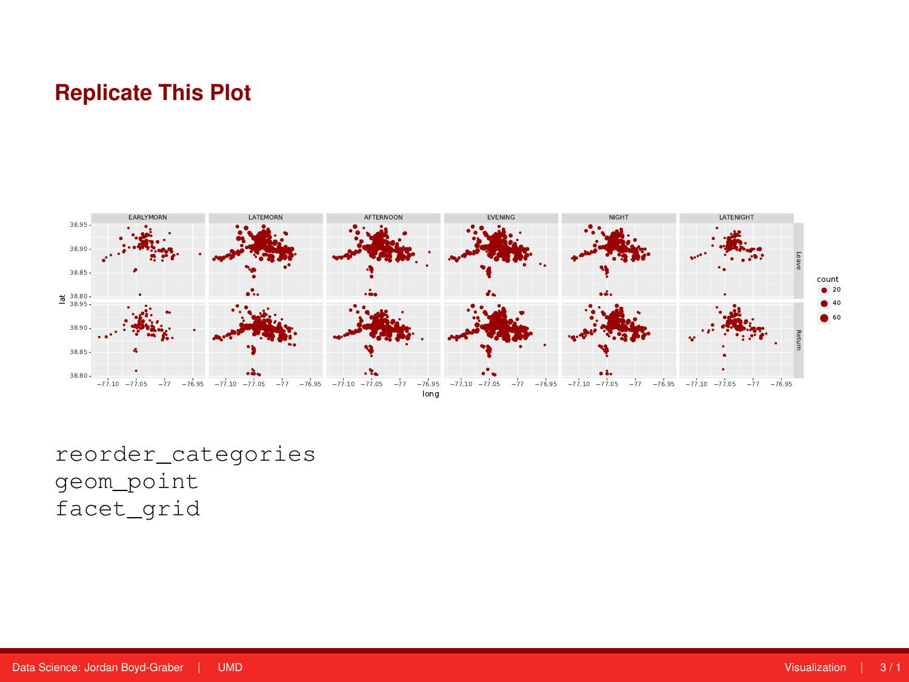## **Replicate This Plot**



reorder\_categories geom\_point facet\_grid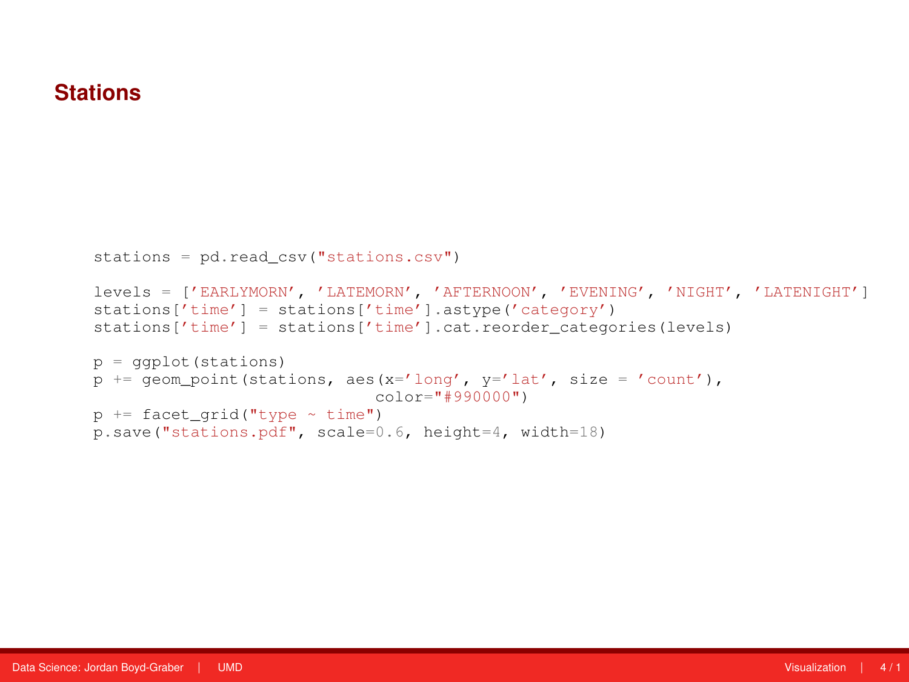#### **Stations**

```
stations = pd.read_csv("stations.csv")
levels = ['EARLYMORN', 'LATEMORN', 'AFTERNOON', 'EVENING', 'NIGHT', 'LATENIGHT']
stations['time'] = stations['time'].astype('category')
stations['time'] = stations['time'].cat.reorder_categories(levels)
p = ggplot(stations)
p += geom_point (stations, aes(x='long', y='lat', size = 'count'),
                             color="#990000")
p \leftarrow facet grid("type ~ time")p.save("stations.pdf", scale=0.6, height=4, width=18)
```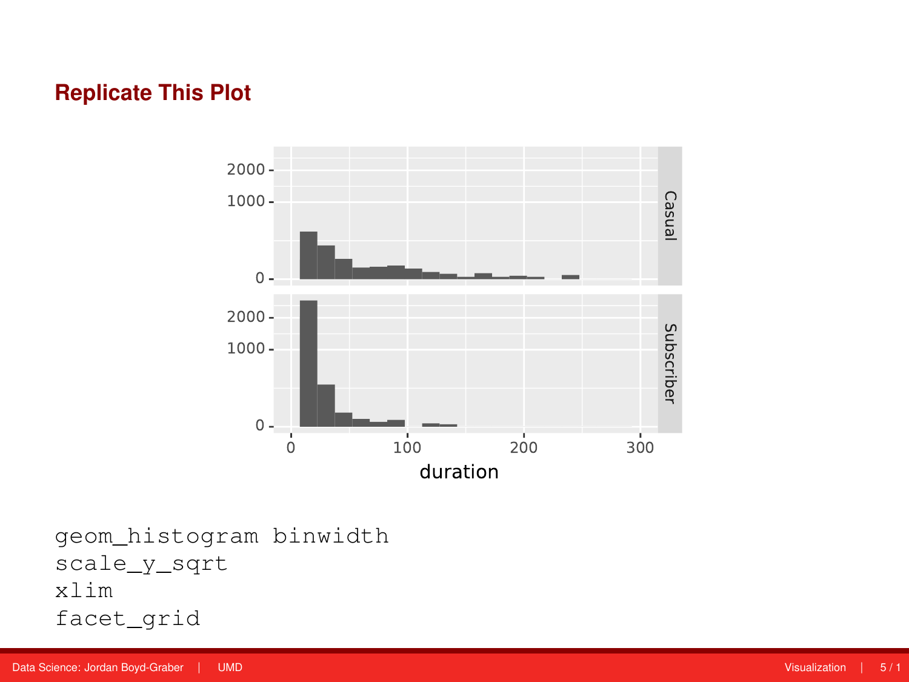## **Replicate This Plot**



geom\_histogram binwidth scale\_y\_sqrt xlim facet\_grid